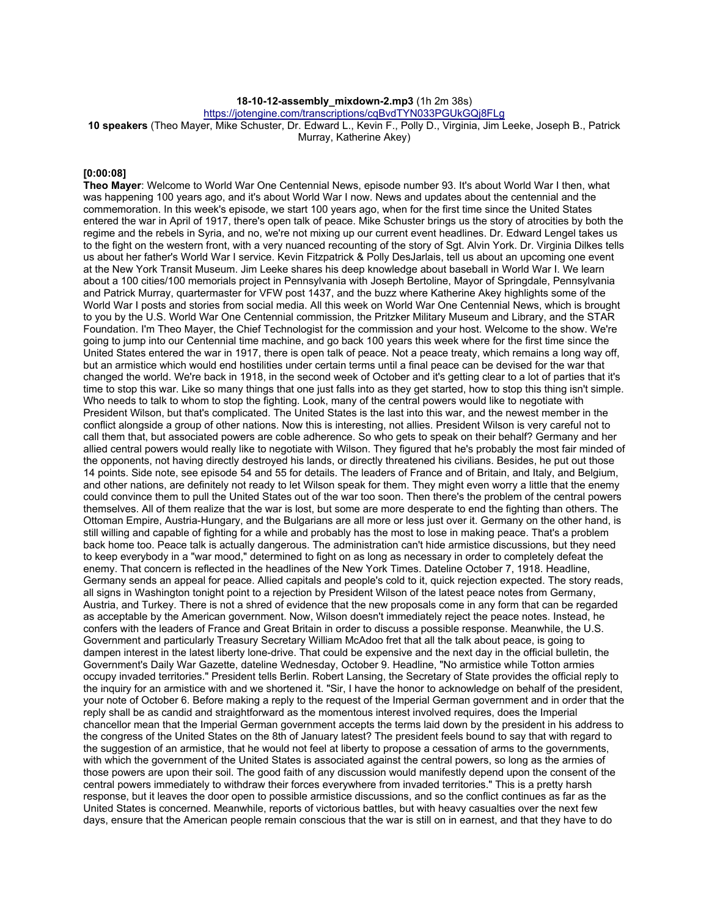# **18-10-12-assembly\_mixdown-2.mp3** (1h 2m 38s)

https://jotengine.com/transcriptions/cqBvdTYN033PGUkGQj8FLg

**10 speakers** (Theo Mayer, Mike Schuster, Dr. Edward L., Kevin F., Polly D., Virginia, Jim Leeke, Joseph B., Patrick Murray, Katherine Akey)

#### **[0:00:08]**

**Theo Mayer**: Welcome to World War One Centennial News, episode number 93. It's about World War I then, what was happening 100 years ago, and it's about World War I now. News and updates about the centennial and the commemoration. In this week's episode, we start 100 years ago, when for the first time since the United States entered the war in April of 1917, there's open talk of peace. Mike Schuster brings us the story of atrocities by both the regime and the rebels in Syria, and no, we're not mixing up our current event headlines. Dr. Edward Lengel takes us to the fight on the western front, with a very nuanced recounting of the story of Sgt. Alvin York. Dr. Virginia Dilkes tells us about her father's World War I service. Kevin Fitzpatrick & Polly DesJarlais, tell us about an upcoming one event at the New York Transit Museum. Jim Leeke shares his deep knowledge about baseball in World War I. We learn about a 100 cities/100 memorials project in Pennsylvania with Joseph Bertoline, Mayor of Springdale, Pennsylvania and Patrick Murray, quartermaster for VFW post 1437, and the buzz where Katherine Akey highlights some of the World War I posts and stories from social media. All this week on World War One Centennial News, which is brought to you by the U.S. World War One Centennial commission, the Pritzker Military Museum and Library, and the STAR Foundation. I'm Theo Mayer, the Chief Technologist for the commission and your host. Welcome to the show. We're going to jump into our Centennial time machine, and go back 100 years this week where for the first time since the United States entered the war in 1917, there is open talk of peace. Not a peace treaty, which remains a long way off, but an armistice which would end hostilities under certain terms until a final peace can be devised for the war that changed the world. We're back in 1918, in the second week of October and it's getting clear to a lot of parties that it's time to stop this war. Like so many things that one just falls into as they get started, how to stop this thing isn't simple. Who needs to talk to whom to stop the fighting. Look, many of the central powers would like to negotiate with President Wilson, but that's complicated. The United States is the last into this war, and the newest member in the conflict alongside a group of other nations. Now this is interesting, not allies. President Wilson is very careful not to call them that, but associated powers are coble adherence. So who gets to speak on their behalf? Germany and her allied central powers would really like to negotiate with Wilson. They figured that he's probably the most fair minded of the opponents, not having directly destroyed his lands, or directly threatened his civilians. Besides, he put out those 14 points. Side note, see episode 54 and 55 for details. The leaders of France and of Britain, and Italy, and Belgium, and other nations, are definitely not ready to let Wilson speak for them. They might even worry a little that the enemy could convince them to pull the United States out of the war too soon. Then there's the problem of the central powers themselves. All of them realize that the war is lost, but some are more desperate to end the fighting than others. The Ottoman Empire, Austria-Hungary, and the Bulgarians are all more or less just over it. Germany on the other hand, is still willing and capable of fighting for a while and probably has the most to lose in making peace. That's a problem back home too. Peace talk is actually dangerous. The administration can't hide armistice discussions, but they need to keep everybody in a "war mood," determined to fight on as long as necessary in order to completely defeat the enemy. That concern is reflected in the headlines of the New York Times. Dateline October 7, 1918. Headline, Germany sends an appeal for peace. Allied capitals and people's cold to it, quick rejection expected. The story reads, all signs in Washington tonight point to a rejection by President Wilson of the latest peace notes from Germany, Austria, and Turkey. There is not a shred of evidence that the new proposals come in any form that can be regarded as acceptable by the American government. Now, Wilson doesn't immediately reject the peace notes. Instead, he confers with the leaders of France and Great Britain in order to discuss a possible response. Meanwhile, the U.S. Government and particularly Treasury Secretary William McAdoo fret that all the talk about peace, is going to dampen interest in the latest liberty lone-drive. That could be expensive and the next day in the official bulletin, the Government's Daily War Gazette, dateline Wednesday, October 9. Headline, "No armistice while Totton armies occupy invaded territories." President tells Berlin. Robert Lansing, the Secretary of State provides the official reply to the inquiry for an armistice with and we shortened it. "Sir, I have the honor to acknowledge on behalf of the president, your note of October 6. Before making a reply to the request of the Imperial German government and in order that the reply shall be as candid and straightforward as the momentous interest involved requires, does the Imperial chancellor mean that the Imperial German government accepts the terms laid down by the president in his address to the congress of the United States on the 8th of January latest? The president feels bound to say that with regard to the suggestion of an armistice, that he would not feel at liberty to propose a cessation of arms to the governments, with which the government of the United States is associated against the central powers, so long as the armies of those powers are upon their soil. The good faith of any discussion would manifestly depend upon the consent of the central powers immediately to withdraw their forces everywhere from invaded territories." This is a pretty harsh response, but it leaves the door open to possible armistice discussions, and so the conflict continues as far as the United States is concerned. Meanwhile, reports of victorious battles, but with heavy casualties over the next few days, ensure that the American people remain conscious that the war is still on in earnest, and that they have to do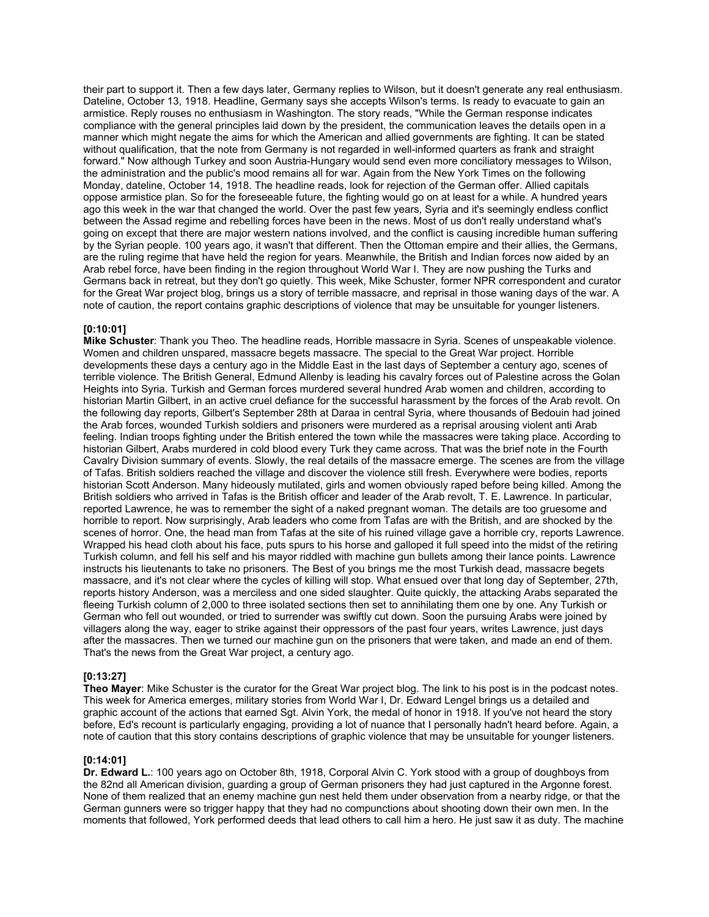their part to support it. Then a few days later, Germany replies to Wilson, but it doesn't generate any real enthusiasm. Dateline, October 13, 1918. Headline, Germany says she accepts Wilson's terms. Is ready to evacuate to gain an armistice. Reply rouses no enthusiasm in Washington. The story reads, "While the German response indicates compliance with the general principles laid down by the president, the communication leaves the details open in a manner which might negate the aims for which the American and allied governments are fighting. It can be stated without qualification, that the note from Germany is not regarded in well-informed quarters as frank and straight forward." Now although Turkey and soon Austria-Hungary would send even more conciliatory messages to Wilson, the administration and the public's mood remains all for war. Again from the New York Times on the following Monday, dateline, October 14, 1918. The headline reads, look for rejection of the German offer. Allied capitals oppose armistice plan. So for the foreseeable future, the fighting would go on at least for a while. A hundred years ago this week in the war that changed the world. Over the past few years, Syria and it's seemingly endless conflict between the Assad regime and rebelling forces have been in the news. Most of us don't really understand what's going on except that there are major western nations involved, and the conflict is causing incredible human suffering by the Syrian people. 100 years ago, it wasn't that different. Then the Ottoman empire and their allies, the Germans, are the ruling regime that have held the region for years. Meanwhile, the British and Indian forces now aided by an Arab rebel force, have been finding in the region throughout World War I. They are now pushing the Turks and Germans back in retreat, but they don't go quietly. This week, Mike Schuster, former NPR correspondent and curator for the Great War project blog, brings us a story of terrible massacre, and reprisal in those waning days of the war. A note of caution, the report contains graphic descriptions of violence that may be unsuitable for younger listeners.

# **[0:10:01]**

**Mike Schuster**: Thank you Theo. The headline reads, Horrible massacre in Syria. Scenes of unspeakable violence. Women and children unspared, massacre begets massacre. The special to the Great War project. Horrible developments these days a century ago in the Middle East in the last days of September a century ago, scenes of terrible violence. The British General, Edmund Allenby is leading his cavalry forces out of Palestine across the Golan Heights into Syria. Turkish and German forces murdered several hundred Arab women and children, according to historian Martin Gilbert, in an active cruel defiance for the successful harassment by the forces of the Arab revolt. On the following day reports, Gilbert's September 28th at Daraa in central Syria, where thousands of Bedouin had joined the Arab forces, wounded Turkish soldiers and prisoners were murdered as a reprisal arousing violent anti Arab feeling. Indian troops fighting under the British entered the town while the massacres were taking place. According to historian Gilbert, Arabs murdered in cold blood every Turk they came across. That was the brief note in the Fourth Cavalry Division summary of events. Slowly, the real details of the massacre emerge. The scenes are from the village of Tafas. British soldiers reached the village and discover the violence still fresh. Everywhere were bodies, reports historian Scott Anderson. Many hideously mutilated, girls and women obviously raped before being killed. Among the British soldiers who arrived in Tafas is the British officer and leader of the Arab revolt, T. E. Lawrence. In particular, reported Lawrence, he was to remember the sight of a naked pregnant woman. The details are too gruesome and horrible to report. Now surprisingly, Arab leaders who come from Tafas are with the British, and are shocked by the scenes of horror. One, the head man from Tafas at the site of his ruined village gave a horrible cry, reports Lawrence. Wrapped his head cloth about his face, puts spurs to his horse and galloped it full speed into the midst of the retiring Turkish column, and fell his self and his mayor riddled with machine gun bullets among their lance points. Lawrence instructs his lieutenants to take no prisoners. The Best of you brings me the most Turkish dead, massacre begets massacre, and it's not clear where the cycles of killing will stop. What ensued over that long day of September, 27th, reports history Anderson, was a merciless and one sided slaughter. Quite quickly, the attacking Arabs separated the fleeing Turkish column of 2,000 to three isolated sections then set to annihilating them one by one. Any Turkish or German who fell out wounded, or tried to surrender was swiftly cut down. Soon the pursuing Arabs were joined by villagers along the way, eager to strike against their oppressors of the past four years, writes Lawrence, just days after the massacres. Then we turned our machine gun on the prisoners that were taken, and made an end of them. That's the news from the Great War project, a century ago.

# **[0:13:27]**

**Theo Mayer**: Mike Schuster is the curator for the Great War project blog. The link to his post is in the podcast notes. This week for America emerges, military stories from World War I, Dr. Edward Lengel brings us a detailed and graphic account of the actions that earned Sgt. Alvin York, the medal of honor in 1918. If you've not heard the story before, Ed's recount is particularly engaging, providing a lot of nuance that I personally hadn't heard before. Again, a note of caution that this story contains descriptions of graphic violence that may be unsuitable for younger listeners.

#### **[0:14:01]**

**Dr. Edward L.**: 100 years ago on October 8th, 1918, Corporal Alvin C. York stood with a group of doughboys from the 82nd all American division, guarding a group of German prisoners they had just captured in the Argonne forest. None of them realized that an enemy machine gun nest held them under observation from a nearby ridge, or that the German gunners were so trigger happy that they had no compunctions about shooting down their own men. In the moments that followed, York performed deeds that lead others to call him a hero. He just saw it as duty. The machine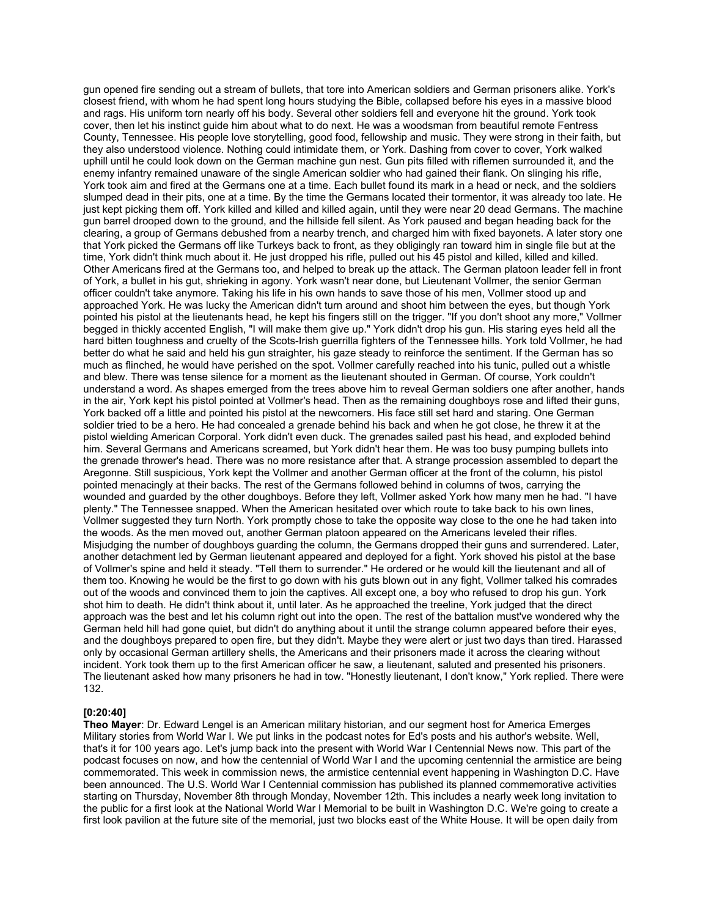gun opened fire sending out a stream of bullets, that tore into American soldiers and German prisoners alike. York's closest friend, with whom he had spent long hours studying the Bible, collapsed before his eyes in a massive blood and rags. His uniform torn nearly off his body. Several other soldiers fell and everyone hit the ground. York took cover, then let his instinct guide him about what to do next. He was a woodsman from beautiful remote Fentress County, Tennessee. His people love storytelling, good food, fellowship and music. They were strong in their faith, but they also understood violence. Nothing could intimidate them, or York. Dashing from cover to cover, York walked uphill until he could look down on the German machine gun nest. Gun pits filled with riflemen surrounded it, and the enemy infantry remained unaware of the single American soldier who had gained their flank. On slinging his rifle, York took aim and fired at the Germans one at a time. Each bullet found its mark in a head or neck, and the soldiers slumped dead in their pits, one at a time. By the time the Germans located their tormentor, it was already too late. He just kept picking them off. York killed and killed and killed again, until they were near 20 dead Germans. The machine gun barrel drooped down to the ground, and the hillside fell silent. As York paused and began heading back for the clearing, a group of Germans debushed from a nearby trench, and charged him with fixed bayonets. A later story one that York picked the Germans off like Turkeys back to front, as they obligingly ran toward him in single file but at the time, York didn't think much about it. He just dropped his rifle, pulled out his 45 pistol and killed, killed and killed. Other Americans fired at the Germans too, and helped to break up the attack. The German platoon leader fell in front of York, a bullet in his gut, shrieking in agony. York wasn't near done, but Lieutenant Vollmer, the senior German officer couldn't take anymore. Taking his life in his own hands to save those of his men, Vollmer stood up and approached York. He was lucky the American didn't turn around and shoot him between the eyes, but though York pointed his pistol at the lieutenants head, he kept his fingers still on the trigger. "If you don't shoot any more," Vollmer begged in thickly accented English, "I will make them give up." York didn't drop his gun. His staring eyes held all the hard bitten toughness and cruelty of the Scots-Irish guerrilla fighters of the Tennessee hills. York told Vollmer, he had better do what he said and held his gun straighter, his gaze steady to reinforce the sentiment. If the German has so much as flinched, he would have perished on the spot. Vollmer carefully reached into his tunic, pulled out a whistle and blew. There was tense silence for a moment as the lieutenant shouted in German. Of course, York couldn't understand a word. As shapes emerged from the trees above him to reveal German soldiers one after another, hands in the air, York kept his pistol pointed at Vollmer's head. Then as the remaining doughboys rose and lifted their guns, York backed off a little and pointed his pistol at the newcomers. His face still set hard and staring. One German soldier tried to be a hero. He had concealed a grenade behind his back and when he got close, he threw it at the pistol wielding American Corporal. York didn't even duck. The grenades sailed past his head, and exploded behind him. Several Germans and Americans screamed, but York didn't hear them. He was too busy pumping bullets into the grenade thrower's head. There was no more resistance after that. A strange procession assembled to depart the Aregonne. Still suspicious, York kept the Vollmer and another German officer at the front of the column, his pistol pointed menacingly at their backs. The rest of the Germans followed behind in columns of twos, carrying the wounded and guarded by the other doughboys. Before they left, Vollmer asked York how many men he had. "I have plenty." The Tennessee snapped. When the American hesitated over which route to take back to his own lines, Vollmer suggested they turn North. York promptly chose to take the opposite way close to the one he had taken into the woods. As the men moved out, another German platoon appeared on the Americans leveled their rifles. Misjudging the number of doughboys guarding the column, the Germans dropped their guns and surrendered. Later, another detachment led by German lieutenant appeared and deployed for a fight. York shoved his pistol at the base of Vollmer's spine and held it steady. "Tell them to surrender." He ordered or he would kill the lieutenant and all of them too. Knowing he would be the first to go down with his guts blown out in any fight, Vollmer talked his comrades out of the woods and convinced them to join the captives. All except one, a boy who refused to drop his gun. York shot him to death. He didn't think about it, until later. As he approached the treeline, York judged that the direct approach was the best and let his column right out into the open. The rest of the battalion must've wondered why the German held hill had gone quiet, but didn't do anything about it until the strange column appeared before their eyes, and the doughboys prepared to open fire, but they didn't. Maybe they were alert or just two days than tired. Harassed only by occasional German artillery shells, the Americans and their prisoners made it across the clearing without incident. York took them up to the first American officer he saw, a lieutenant, saluted and presented his prisoners. The lieutenant asked how many prisoners he had in tow. "Honestly lieutenant, I don't know," York replied. There were 132.

# **[0:20:40]**

**Theo Mayer**: Dr. Edward Lengel is an American military historian, and our segment host for America Emerges Military stories from World War I. We put links in the podcast notes for Ed's posts and his author's website. Well, that's it for 100 years ago. Let's jump back into the present with World War I Centennial News now. This part of the podcast focuses on now, and how the centennial of World War I and the upcoming centennial the armistice are being commemorated. This week in commission news, the armistice centennial event happening in Washington D.C. Have been announced. The U.S. World War I Centennial commission has published its planned commemorative activities starting on Thursday, November 8th through Monday, November 12th. This includes a nearly week long invitation to the public for a first look at the National World War I Memorial to be built in Washington D.C. We're going to create a first look pavilion at the future site of the memorial, just two blocks east of the White House. It will be open daily from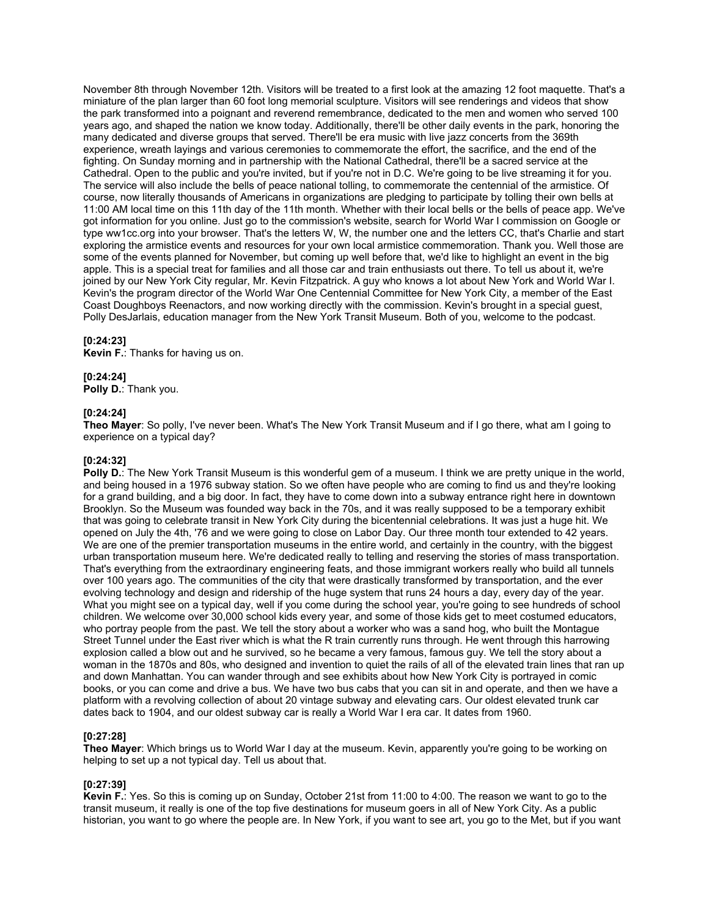November 8th through November 12th. Visitors will be treated to a first look at the amazing 12 foot maquette. That's a miniature of the plan larger than 60 foot long memorial sculpture. Visitors will see renderings and videos that show the park transformed into a poignant and reverend remembrance, dedicated to the men and women who served 100 years ago, and shaped the nation we know today. Additionally, there'll be other daily events in the park, honoring the many dedicated and diverse groups that served. There'll be era music with live jazz concerts from the 369th experience, wreath layings and various ceremonies to commemorate the effort, the sacrifice, and the end of the fighting. On Sunday morning and in partnership with the National Cathedral, there'll be a sacred service at the Cathedral. Open to the public and you're invited, but if you're not in D.C. We're going to be live streaming it for you. The service will also include the bells of peace national tolling, to commemorate the centennial of the armistice. Of course, now literally thousands of Americans in organizations are pledging to participate by tolling their own bells at 11:00 AM local time on this 11th day of the 11th month. Whether with their local bells or the bells of peace app. We've got information for you online. Just go to the commission's website, search for World War I commission on Google or type ww1cc.org into your browser. That's the letters W, W, the number one and the letters CC, that's Charlie and start exploring the armistice events and resources for your own local armistice commemoration. Thank you. Well those are some of the events planned for November, but coming up well before that, we'd like to highlight an event in the big apple. This is a special treat for families and all those car and train enthusiasts out there. To tell us about it, we're joined by our New York City regular, Mr. Kevin Fitzpatrick. A guy who knows a lot about New York and World War I. Kevin's the program director of the World War One Centennial Committee for New York City, a member of the East Coast Doughboys Reenactors, and now working directly with the commission. Kevin's brought in a special guest, Polly DesJarlais, education manager from the New York Transit Museum. Both of you, welcome to the podcast.

#### **[0:24:23]**

**Kevin F.**: Thanks for having us on.

#### **[0:24:24]**

**Polly D.**: Thank you.

#### **[0:24:24]**

**Theo Mayer**: So polly, I've never been. What's The New York Transit Museum and if I go there, what am I going to experience on a typical day?

### **[0:24:32]**

**Polly D.**: The New York Transit Museum is this wonderful gem of a museum. I think we are pretty unique in the world, and being housed in a 1976 subway station. So we often have people who are coming to find us and they're looking for a grand building, and a big door. In fact, they have to come down into a subway entrance right here in downtown Brooklyn. So the Museum was founded way back in the 70s, and it was really supposed to be a temporary exhibit that was going to celebrate transit in New York City during the bicentennial celebrations. It was just a huge hit. We opened on July the 4th, '76 and we were going to close on Labor Day. Our three month tour extended to 42 years. We are one of the premier transportation museums in the entire world, and certainly in the country, with the biggest urban transportation museum here. We're dedicated really to telling and reserving the stories of mass transportation. That's everything from the extraordinary engineering feats, and those immigrant workers really who build all tunnels over 100 years ago. The communities of the city that were drastically transformed by transportation, and the ever evolving technology and design and ridership of the huge system that runs 24 hours a day, every day of the year. What you might see on a typical day, well if you come during the school year, you're going to see hundreds of school children. We welcome over 30,000 school kids every year, and some of those kids get to meet costumed educators, who portray people from the past. We tell the story about a worker who was a sand hog, who built the Montague Street Tunnel under the East river which is what the R train currently runs through. He went through this harrowing explosion called a blow out and he survived, so he became a very famous, famous guy. We tell the story about a woman in the 1870s and 80s, who designed and invention to quiet the rails of all of the elevated train lines that ran up and down Manhattan. You can wander through and see exhibits about how New York City is portrayed in comic books, or you can come and drive a bus. We have two bus cabs that you can sit in and operate, and then we have a platform with a revolving collection of about 20 vintage subway and elevating cars. Our oldest elevated trunk car dates back to 1904, and our oldest subway car is really a World War I era car. It dates from 1960.

# **[0:27:28]**

**Theo Mayer**: Which brings us to World War I day at the museum. Kevin, apparently you're going to be working on helping to set up a not typical day. Tell us about that.

# **[0:27:39]**

**Kevin F.**: Yes. So this is coming up on Sunday, October 21st from 11:00 to 4:00. The reason we want to go to the transit museum, it really is one of the top five destinations for museum goers in all of New York City. As a public historian, you want to go where the people are. In New York, if you want to see art, you go to the Met, but if you want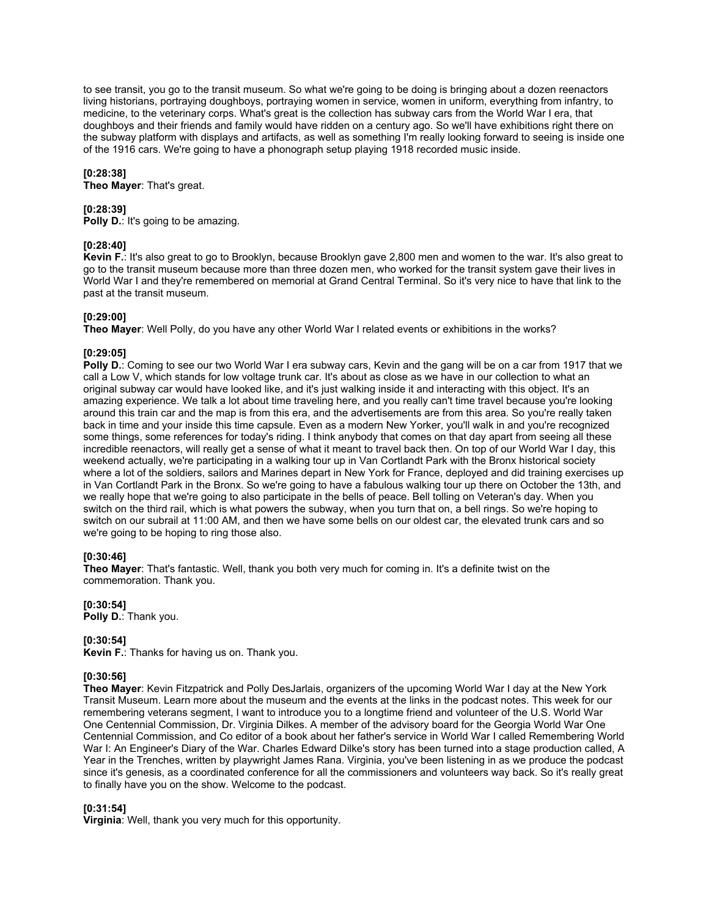to see transit, you go to the transit museum. So what we're going to be doing is bringing about a dozen reenactors living historians, portraying doughboys, portraying women in service, women in uniform, everything from infantry, to medicine, to the veterinary corps. What's great is the collection has subway cars from the World War I era, that doughboys and their friends and family would have ridden on a century ago. So we'll have exhibitions right there on the subway platform with displays and artifacts, as well as something I'm really looking forward to seeing is inside one of the 1916 cars. We're going to have a phonograph setup playing 1918 recorded music inside.

# **[0:28:38]**

**Theo Mayer**: That's great.

# **[0:28:39]**

**Polly D.: It's going to be amazing.** 

# **[0:28:40]**

**Kevin F.**: It's also great to go to Brooklyn, because Brooklyn gave 2,800 men and women to the war. It's also great to go to the transit museum because more than three dozen men, who worked for the transit system gave their lives in World War I and they're remembered on memorial at Grand Central Terminal. So it's very nice to have that link to the past at the transit museum.

# **[0:29:00]**

**Theo Mayer**: Well Polly, do you have any other World War I related events or exhibitions in the works?

# **[0:29:05]**

Polly D.: Coming to see our two World War I era subway cars, Kevin and the gang will be on a car from 1917 that we call a Low V, which stands for low voltage trunk car. It's about as close as we have in our collection to what an original subway car would have looked like, and it's just walking inside it and interacting with this object. It's an amazing experience. We talk a lot about time traveling here, and you really can't time travel because you're looking around this train car and the map is from this era, and the advertisements are from this area. So you're really taken back in time and your inside this time capsule. Even as a modern New Yorker, you'll walk in and you're recognized some things, some references for today's riding. I think anybody that comes on that day apart from seeing all these incredible reenactors, will really get a sense of what it meant to travel back then. On top of our World War I day, this weekend actually, we're participating in a walking tour up in Van Cortlandt Park with the Bronx historical society where a lot of the soldiers, sailors and Marines depart in New York for France, deployed and did training exercises up in Van Cortlandt Park in the Bronx. So we're going to have a fabulous walking tour up there on October the 13th, and we really hope that we're going to also participate in the bells of peace. Bell tolling on Veteran's day. When you switch on the third rail, which is what powers the subway, when you turn that on, a bell rings. So we're hoping to switch on our subrail at 11:00 AM, and then we have some bells on our oldest car, the elevated trunk cars and so we're going to be hoping to ring those also.

# **[0:30:46]**

**Theo Mayer**: That's fantastic. Well, thank you both very much for coming in. It's a definite twist on the commemoration. Thank you.

**[0:30:54] Polly D.**: Thank you.

# **[0:30:54]**

**Kevin F.**: Thanks for having us on. Thank you.

# **[0:30:56]**

**Theo Mayer**: Kevin Fitzpatrick and Polly DesJarlais, organizers of the upcoming World War I day at the New York Transit Museum. Learn more about the museum and the events at the links in the podcast notes. This week for our remembering veterans segment, I want to introduce you to a longtime friend and volunteer of the U.S. World War One Centennial Commission, Dr. Virginia Dilkes. A member of the advisory board for the Georgia World War One Centennial Commission, and Co editor of a book about her father's service in World War I called Remembering World War I: An Engineer's Diary of the War. Charles Edward Dilke's story has been turned into a stage production called, A Year in the Trenches, written by playwright James Rana. Virginia, you've been listening in as we produce the podcast since it's genesis, as a coordinated conference for all the commissioners and volunteers way back. So it's really great to finally have you on the show. Welcome to the podcast.

# **[0:31:54]**

**Virginia**: Well, thank you very much for this opportunity.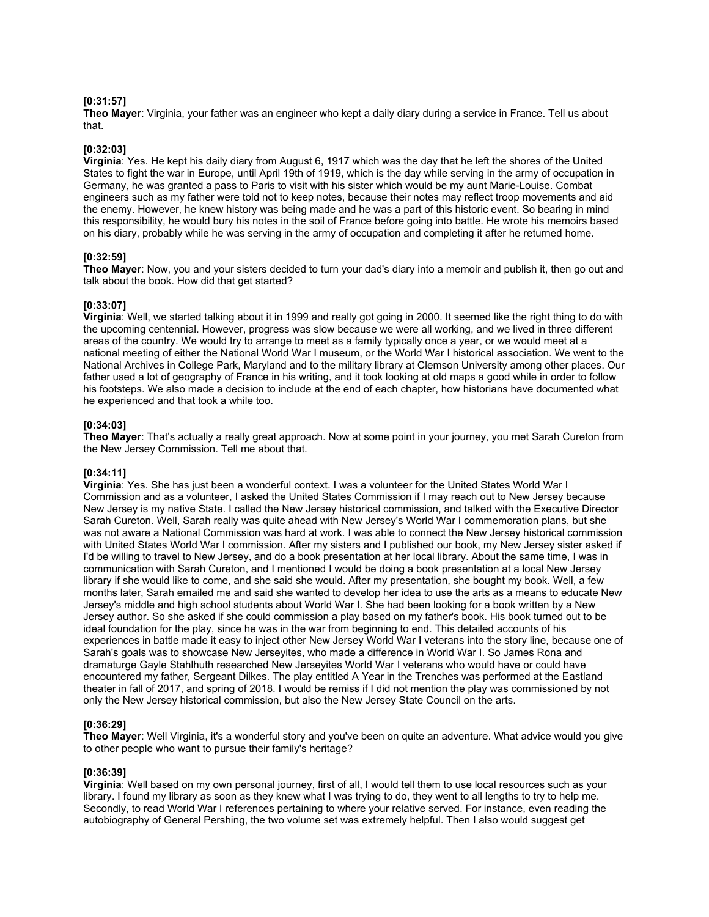# **[0:31:57]**

**Theo Mayer**: Virginia, your father was an engineer who kept a daily diary during a service in France. Tell us about that.

# **[0:32:03]**

**Virginia**: Yes. He kept his daily diary from August 6, 1917 which was the day that he left the shores of the United States to fight the war in Europe, until April 19th of 1919, which is the day while serving in the army of occupation in Germany, he was granted a pass to Paris to visit with his sister which would be my aunt Marie-Louise. Combat engineers such as my father were told not to keep notes, because their notes may reflect troop movements and aid the enemy. However, he knew history was being made and he was a part of this historic event. So bearing in mind this responsibility, he would bury his notes in the soil of France before going into battle. He wrote his memoirs based on his diary, probably while he was serving in the army of occupation and completing it after he returned home.

# **[0:32:59]**

**Theo Mayer**: Now, you and your sisters decided to turn your dad's diary into a memoir and publish it, then go out and talk about the book. How did that get started?

# **[0:33:07]**

**Virginia**: Well, we started talking about it in 1999 and really got going in 2000. It seemed like the right thing to do with the upcoming centennial. However, progress was slow because we were all working, and we lived in three different areas of the country. We would try to arrange to meet as a family typically once a year, or we would meet at a national meeting of either the National World War I museum, or the World War I historical association. We went to the National Archives in College Park, Maryland and to the military library at Clemson University among other places. Our father used a lot of geography of France in his writing, and it took looking at old maps a good while in order to follow his footsteps. We also made a decision to include at the end of each chapter, how historians have documented what he experienced and that took a while too.

# **[0:34:03]**

**Theo Mayer**: That's actually a really great approach. Now at some point in your journey, you met Sarah Cureton from the New Jersey Commission. Tell me about that.

# **[0:34:11]**

**Virginia**: Yes. She has just been a wonderful context. I was a volunteer for the United States World War I Commission and as a volunteer, I asked the United States Commission if I may reach out to New Jersey because New Jersey is my native State. I called the New Jersey historical commission, and talked with the Executive Director Sarah Cureton. Well, Sarah really was quite ahead with New Jersey's World War I commemoration plans, but she was not aware a National Commission was hard at work. I was able to connect the New Jersey historical commission with United States World War I commission. After my sisters and I published our book, my New Jersey sister asked if I'd be willing to travel to New Jersey, and do a book presentation at her local library. About the same time, I was in communication with Sarah Cureton, and I mentioned I would be doing a book presentation at a local New Jersey library if she would like to come, and she said she would. After my presentation, she bought my book. Well, a few months later, Sarah emailed me and said she wanted to develop her idea to use the arts as a means to educate New Jersey's middle and high school students about World War I. She had been looking for a book written by a New Jersey author. So she asked if she could commission a play based on my father's book. His book turned out to be ideal foundation for the play, since he was in the war from beginning to end. This detailed accounts of his experiences in battle made it easy to inject other New Jersey World War I veterans into the story line, because one of Sarah's goals was to showcase New Jerseyites, who made a difference in World War I. So James Rona and dramaturge Gayle Stahlhuth researched New Jerseyites World War I veterans who would have or could have encountered my father, Sergeant Dilkes. The play entitled A Year in the Trenches was performed at the Eastland theater in fall of 2017, and spring of 2018. I would be remiss if I did not mention the play was commissioned by not only the New Jersey historical commission, but also the New Jersey State Council on the arts.

# **[0:36:29]**

**Theo Mayer**: Well Virginia, it's a wonderful story and you've been on quite an adventure. What advice would you give to other people who want to pursue their family's heritage?

#### **[0:36:39]**

**Virginia**: Well based on my own personal journey, first of all, I would tell them to use local resources such as your library. I found my library as soon as they knew what I was trying to do, they went to all lengths to try to help me. Secondly, to read World War I references pertaining to where your relative served. For instance, even reading the autobiography of General Pershing, the two volume set was extremely helpful. Then I also would suggest get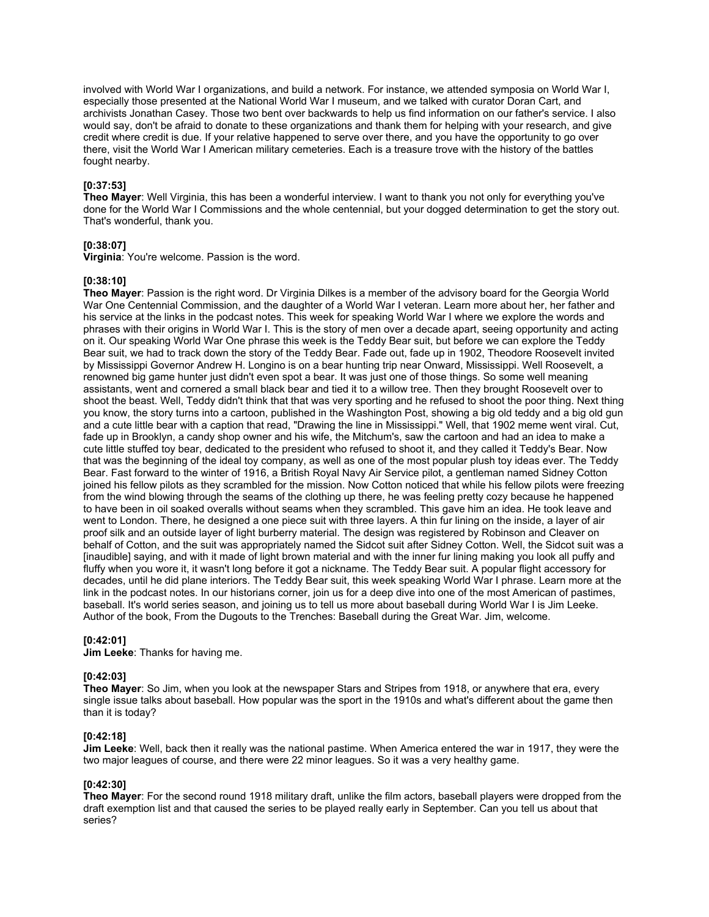involved with World War I organizations, and build a network. For instance, we attended symposia on World War I, especially those presented at the National World War I museum, and we talked with curator Doran Cart, and archivists Jonathan Casey. Those two bent over backwards to help us find information on our father's service. I also would say, don't be afraid to donate to these organizations and thank them for helping with your research, and give credit where credit is due. If your relative happened to serve over there, and you have the opportunity to go over there, visit the World War I American military cemeteries. Each is a treasure trove with the history of the battles fought nearby.

# **[0:37:53]**

**Theo Mayer**: Well Virginia, this has been a wonderful interview. I want to thank you not only for everything you've done for the World War I Commissions and the whole centennial, but your dogged determination to get the story out. That's wonderful, thank you.

# **[0:38:07]**

**Virginia**: You're welcome. Passion is the word.

#### **[0:38:10]**

**Theo Mayer**: Passion is the right word. Dr Virginia Dilkes is a member of the advisory board for the Georgia World War One Centennial Commission, and the daughter of a World War I veteran. Learn more about her, her father and his service at the links in the podcast notes. This week for speaking World War I where we explore the words and phrases with their origins in World War I. This is the story of men over a decade apart, seeing opportunity and acting on it. Our speaking World War One phrase this week is the Teddy Bear suit, but before we can explore the Teddy Bear suit, we had to track down the story of the Teddy Bear. Fade out, fade up in 1902, Theodore Roosevelt invited by Mississippi Governor Andrew H. Longino is on a bear hunting trip near Onward, Mississippi. Well Roosevelt, a renowned big game hunter just didn't even spot a bear. It was just one of those things. So some well meaning assistants, went and cornered a small black bear and tied it to a willow tree. Then they brought Roosevelt over to shoot the beast. Well, Teddy didn't think that that was very sporting and he refused to shoot the poor thing. Next thing you know, the story turns into a cartoon, published in the Washington Post, showing a big old teddy and a big old gun and a cute little bear with a caption that read, "Drawing the line in Mississippi." Well, that 1902 meme went viral. Cut, fade up in Brooklyn, a candy shop owner and his wife, the Mitchum's, saw the cartoon and had an idea to make a cute little stuffed toy bear, dedicated to the president who refused to shoot it, and they called it Teddy's Bear. Now that was the beginning of the ideal toy company, as well as one of the most popular plush toy ideas ever. The Teddy Bear. Fast forward to the winter of 1916, a British Royal Navy Air Service pilot, a gentleman named Sidney Cotton joined his fellow pilots as they scrambled for the mission. Now Cotton noticed that while his fellow pilots were freezing from the wind blowing through the seams of the clothing up there, he was feeling pretty cozy because he happened to have been in oil soaked overalls without seams when they scrambled. This gave him an idea. He took leave and went to London. There, he designed a one piece suit with three layers. A thin fur lining on the inside, a layer of air proof silk and an outside layer of light burberry material. The design was registered by Robinson and Cleaver on behalf of Cotton, and the suit was appropriately named the Sidcot suit after Sidney Cotton. Well, the Sidcot suit was a [inaudible] saying, and with it made of light brown material and with the inner fur lining making you look all puffy and fluffy when you wore it, it wasn't long before it got a nickname. The Teddy Bear suit. A popular flight accessory for decades, until he did plane interiors. The Teddy Bear suit, this week speaking World War I phrase. Learn more at the link in the podcast notes. In our historians corner, join us for a deep dive into one of the most American of pastimes, baseball. It's world series season, and joining us to tell us more about baseball during World War I is Jim Leeke. Author of the book, From the Dugouts to the Trenches: Baseball during the Great War. Jim, welcome.

# **[0:42:01]**

**Jim Leeke**: Thanks for having me.

# **[0:42:03]**

**Theo Mayer**: So Jim, when you look at the newspaper Stars and Stripes from 1918, or anywhere that era, every single issue talks about baseball. How popular was the sport in the 1910s and what's different about the game then than it is today?

#### **[0:42:18]**

**Jim Leeke**: Well, back then it really was the national pastime. When America entered the war in 1917, they were the two major leagues of course, and there were 22 minor leagues. So it was a very healthy game.

#### **[0:42:30]**

**Theo Mayer**: For the second round 1918 military draft, unlike the film actors, baseball players were dropped from the draft exemption list and that caused the series to be played really early in September. Can you tell us about that series?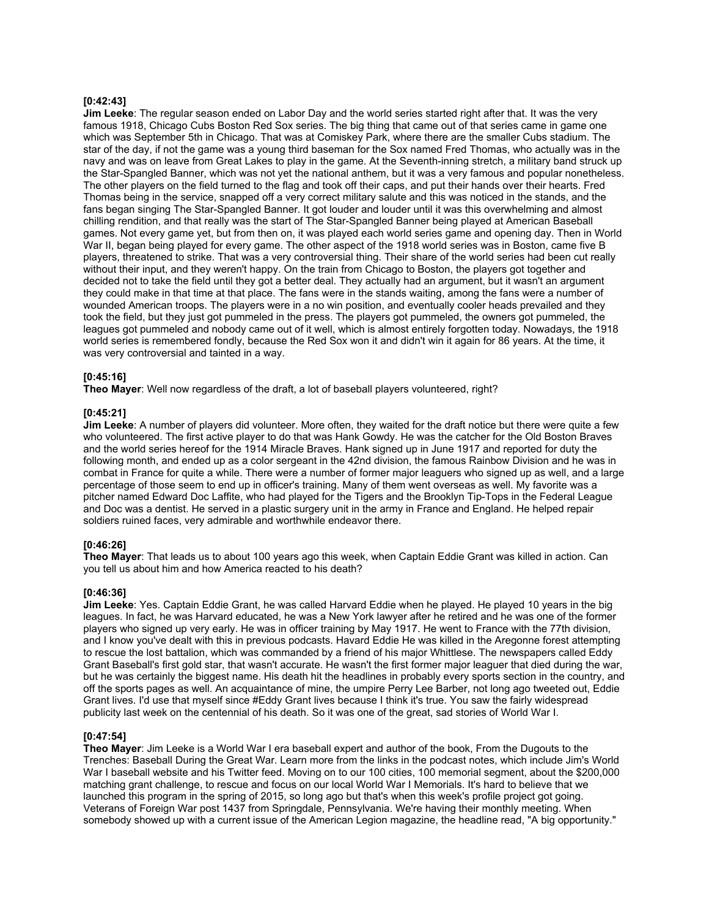# **[0:42:43]**

**Jim Leeke**: The regular season ended on Labor Day and the world series started right after that. It was the very famous 1918, Chicago Cubs Boston Red Sox series. The big thing that came out of that series came in game one which was September 5th in Chicago. That was at Comiskey Park, where there are the smaller Cubs stadium. The star of the day, if not the game was a young third baseman for the Sox named Fred Thomas, who actually was in the navy and was on leave from Great Lakes to play in the game. At the Seventh-inning stretch, a military band struck up the Star-Spangled Banner, which was not yet the national anthem, but it was a very famous and popular nonetheless. The other players on the field turned to the flag and took off their caps, and put their hands over their hearts. Fred Thomas being in the service, snapped off a very correct military salute and this was noticed in the stands, and the fans began singing The Star-Spangled Banner. It got louder and louder until it was this overwhelming and almost chilling rendition, and that really was the start of The Star-Spangled Banner being played at American Baseball games. Not every game yet, but from then on, it was played each world series game and opening day. Then in World War II, began being played for every game. The other aspect of the 1918 world series was in Boston, came five B players, threatened to strike. That was a very controversial thing. Their share of the world series had been cut really without their input, and they weren't happy. On the train from Chicago to Boston, the players got together and decided not to take the field until they got a better deal. They actually had an argument, but it wasn't an argument they could make in that time at that place. The fans were in the stands waiting, among the fans were a number of wounded American troops. The players were in a no win position, and eventually cooler heads prevailed and they took the field, but they just got pummeled in the press. The players got pummeled, the owners got pummeled, the leagues got pummeled and nobody came out of it well, which is almost entirely forgotten today. Nowadays, the 1918 world series is remembered fondly, because the Red Sox won it and didn't win it again for 86 years. At the time, it was very controversial and tainted in a way.

#### **[0:45:16]**

**Theo Mayer**: Well now regardless of the draft, a lot of baseball players volunteered, right?

#### **[0:45:21]**

**Jim Leeke**: A number of players did volunteer. More often, they waited for the draft notice but there were quite a few who volunteered. The first active player to do that was Hank Gowdy. He was the catcher for the Old Boston Braves and the world series hereof for the 1914 Miracle Braves. Hank signed up in June 1917 and reported for duty the following month, and ended up as a color sergeant in the 42nd division, the famous Rainbow Division and he was in combat in France for quite a while. There were a number of former major leaguers who signed up as well, and a large percentage of those seem to end up in officer's training. Many of them went overseas as well. My favorite was a pitcher named Edward Doc Laffite, who had played for the Tigers and the Brooklyn Tip-Tops in the Federal League and Doc was a dentist. He served in a plastic surgery unit in the army in France and England. He helped repair soldiers ruined faces, very admirable and worthwhile endeavor there.

# **[0:46:26]**

**Theo Mayer**: That leads us to about 100 years ago this week, when Captain Eddie Grant was killed in action. Can you tell us about him and how America reacted to his death?

#### **[0:46:36]**

**Jim Leeke**: Yes. Captain Eddie Grant, he was called Harvard Eddie when he played. He played 10 years in the big leagues. In fact, he was Harvard educated, he was a New York lawyer after he retired and he was one of the former players who signed up very early. He was in officer training by May 1917. He went to France with the 77th division, and I know you've dealt with this in previous podcasts. Havard Eddie He was killed in the Aregonne forest attempting to rescue the lost battalion, which was commanded by a friend of his major Whittlese. The newspapers called Eddy Grant Baseball's first gold star, that wasn't accurate. He wasn't the first former major leaguer that died during the war, but he was certainly the biggest name. His death hit the headlines in probably every sports section in the country, and off the sports pages as well. An acquaintance of mine, the umpire Perry Lee Barber, not long ago tweeted out, Eddie Grant lives. I'd use that myself since #Eddy Grant lives because I think it's true. You saw the fairly widespread publicity last week on the centennial of his death. So it was one of the great, sad stories of World War I.

# **[0:47:54]**

**Theo Mayer**: Jim Leeke is a World War I era baseball expert and author of the book, From the Dugouts to the Trenches: Baseball During the Great War. Learn more from the links in the podcast notes, which include Jim's World War I baseball website and his Twitter feed. Moving on to our 100 cities, 100 memorial segment, about the \$200,000 matching grant challenge, to rescue and focus on our local World War I Memorials. It's hard to believe that we launched this program in the spring of 2015, so long ago but that's when this week's profile project got going. Veterans of Foreign War post 1437 from Springdale, Pennsylvania. We're having their monthly meeting. When somebody showed up with a current issue of the American Legion magazine, the headline read, "A big opportunity."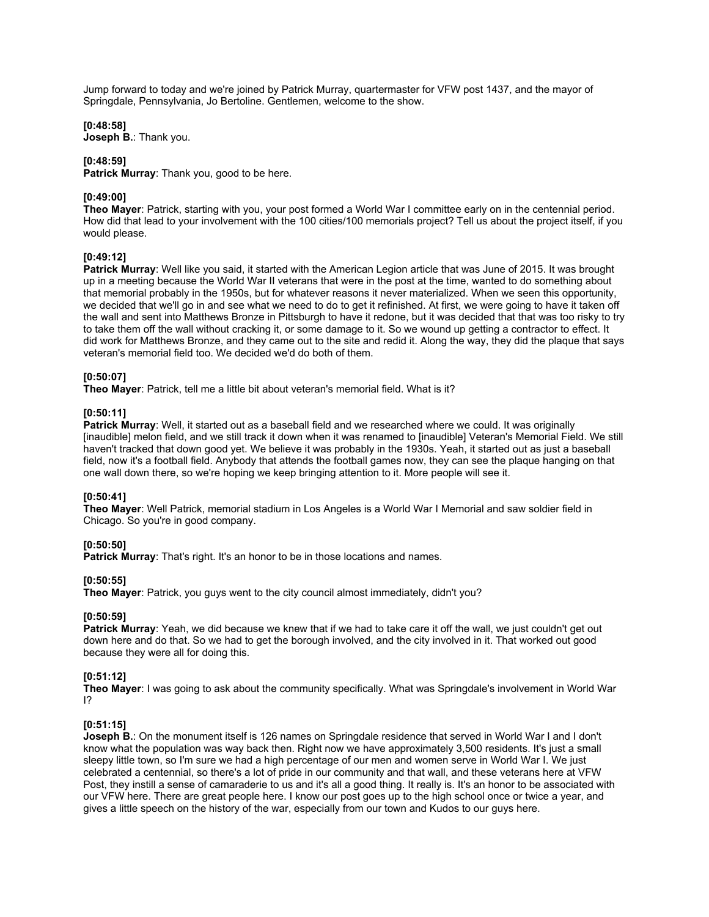Jump forward to today and we're joined by Patrick Murray, quartermaster for VFW post 1437, and the mayor of Springdale, Pennsylvania, Jo Bertoline. Gentlemen, welcome to the show.

# **[0:48:58]**

**Joseph B.**: Thank you.

# **[0:48:59]**

**Patrick Murray**: Thank you, good to be here.

# **[0:49:00]**

**Theo Mayer**: Patrick, starting with you, your post formed a World War I committee early on in the centennial period. How did that lead to your involvement with the 100 cities/100 memorials project? Tell us about the project itself, if you would please.

# **[0:49:12]**

**Patrick Murray**: Well like you said, it started with the American Legion article that was June of 2015. It was brought up in a meeting because the World War II veterans that were in the post at the time, wanted to do something about that memorial probably in the 1950s, but for whatever reasons it never materialized. When we seen this opportunity, we decided that we'll go in and see what we need to do to get it refinished. At first, we were going to have it taken off the wall and sent into Matthews Bronze in Pittsburgh to have it redone, but it was decided that that was too risky to try to take them off the wall without cracking it, or some damage to it. So we wound up getting a contractor to effect. It did work for Matthews Bronze, and they came out to the site and redid it. Along the way, they did the plaque that says veteran's memorial field too. We decided we'd do both of them.

# **[0:50:07]**

**Theo Mayer**: Patrick, tell me a little bit about veteran's memorial field. What is it?

# **[0:50:11]**

**Patrick Murray**: Well, it started out as a baseball field and we researched where we could. It was originally [inaudible] melon field, and we still track it down when it was renamed to [inaudible] Veteran's Memorial Field. We still haven't tracked that down good yet. We believe it was probably in the 1930s. Yeah, it started out as just a baseball field, now it's a football field. Anybody that attends the football games now, they can see the plaque hanging on that one wall down there, so we're hoping we keep bringing attention to it. More people will see it.

# **[0:50:41]**

**Theo Mayer**: Well Patrick, memorial stadium in Los Angeles is a World War I Memorial and saw soldier field in Chicago. So you're in good company.

# **[0:50:50]**

**Patrick Murray:** That's right. It's an honor to be in those locations and names.

# **[0:50:55]**

**Theo Mayer**: Patrick, you guys went to the city council almost immediately, didn't you?

# **[0:50:59]**

**Patrick Murray**: Yeah, we did because we knew that if we had to take care it off the wall, we just couldn't get out down here and do that. So we had to get the borough involved, and the city involved in it. That worked out good because they were all for doing this.

# **[0:51:12]**

**Theo Mayer**: I was going to ask about the community specifically. What was Springdale's involvement in World War I?

# **[0:51:15]**

**Joseph B.**: On the monument itself is 126 names on Springdale residence that served in World War I and I don't know what the population was way back then. Right now we have approximately 3,500 residents. It's just a small sleepy little town, so I'm sure we had a high percentage of our men and women serve in World War I. We just celebrated a centennial, so there's a lot of pride in our community and that wall, and these veterans here at VFW Post, they instill a sense of camaraderie to us and it's all a good thing. It really is. It's an honor to be associated with our VFW here. There are great people here. I know our post goes up to the high school once or twice a year, and gives a little speech on the history of the war, especially from our town and Kudos to our guys here.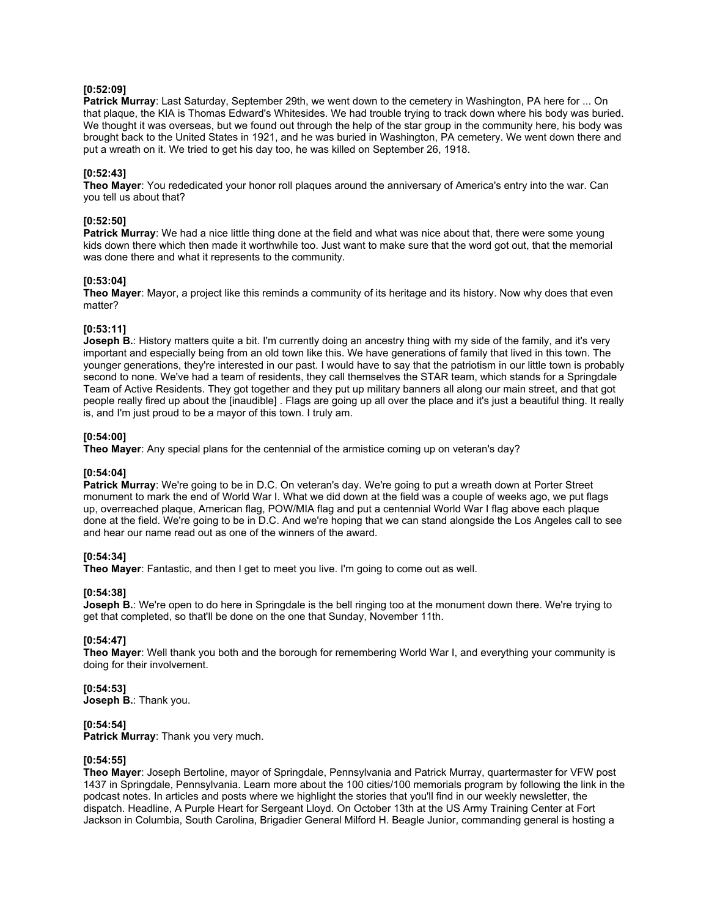# **[0:52:09]**

**Patrick Murray**: Last Saturday, September 29th, we went down to the cemetery in Washington, PA here for ... On that plaque, the KIA is Thomas Edward's Whitesides. We had trouble trying to track down where his body was buried. We thought it was overseas, but we found out through the help of the star group in the community here, his body was brought back to the United States in 1921, and he was buried in Washington, PA cemetery. We went down there and put a wreath on it. We tried to get his day too, he was killed on September 26, 1918.

### **[0:52:43]**

**Theo Mayer**: You rededicated your honor roll plaques around the anniversary of America's entry into the war. Can you tell us about that?

#### **[0:52:50]**

**Patrick Murray**: We had a nice little thing done at the field and what was nice about that, there were some young kids down there which then made it worthwhile too. Just want to make sure that the word got out, that the memorial was done there and what it represents to the community.

#### **[0:53:04]**

**Theo Mayer**: Mayor, a project like this reminds a community of its heritage and its history. Now why does that even matter?

### **[0:53:11]**

**Joseph B.**: History matters quite a bit. I'm currently doing an ancestry thing with my side of the family, and it's very important and especially being from an old town like this. We have generations of family that lived in this town. The younger generations, they're interested in our past. I would have to say that the patriotism in our little town is probably second to none. We've had a team of residents, they call themselves the STAR team, which stands for a Springdale Team of Active Residents. They got together and they put up military banners all along our main street, and that got people really fired up about the [inaudible] . Flags are going up all over the place and it's just a beautiful thing. It really is, and I'm just proud to be a mayor of this town. I truly am.

#### **[0:54:00]**

**Theo Mayer**: Any special plans for the centennial of the armistice coming up on veteran's day?

#### **[0:54:04]**

**Patrick Murray**: We're going to be in D.C. On veteran's day. We're going to put a wreath down at Porter Street monument to mark the end of World War I. What we did down at the field was a couple of weeks ago, we put flags up, overreached plaque, American flag, POW/MIA flag and put a centennial World War I flag above each plaque done at the field. We're going to be in D.C. And we're hoping that we can stand alongside the Los Angeles call to see and hear our name read out as one of the winners of the award.

# **[0:54:34]**

**Theo Mayer**: Fantastic, and then I get to meet you live. I'm going to come out as well.

# **[0:54:38]**

**Joseph B.**: We're open to do here in Springdale is the bell ringing too at the monument down there. We're trying to get that completed, so that'll be done on the one that Sunday, November 11th.

# **[0:54:47]**

**Theo Mayer**: Well thank you both and the borough for remembering World War I, and everything your community is doing for their involvement.

# **[0:54:53]**

**Joseph B.**: Thank you.

# **[0:54:54]**

**Patrick Murray**: Thank you very much.

#### **[0:54:55]**

**Theo Mayer**: Joseph Bertoline, mayor of Springdale, Pennsylvania and Patrick Murray, quartermaster for VFW post 1437 in Springdale, Pennsylvania. Learn more about the 100 cities/100 memorials program by following the link in the podcast notes. In articles and posts where we highlight the stories that you'll find in our weekly newsletter, the dispatch. Headline, A Purple Heart for Sergeant Lloyd. On October 13th at the US Army Training Center at Fort Jackson in Columbia, South Carolina, Brigadier General Milford H. Beagle Junior, commanding general is hosting a